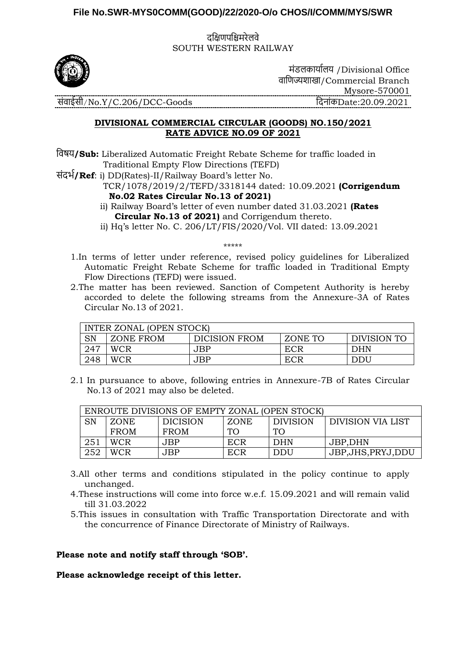## **File No.SWR-MYS0COMM(GOOD)/22/2020-O/o CHOS/I/COMM/MYS/SWR**

दक्षिणपक्षिमरेलवे SOUTH WESTERN RAILWAY



मंडलकार्ाालर् /Divisional Office वाक्षणज्यशाखा/Commercial Branch Mysore-570001 संवाईसी/No.Y/C.206/DCC-Goods क्षदनांकDate:20.09.2021

## **DIVISIONAL COMMERCIAL CIRCULAR (GOODS) NO.150/2021 RATE ADVICE NO.09 OF 2021**

क्षवषर्**/Sub:** Liberalized Automatic Freight Rebate Scheme for traffic loaded in Traditional Empty Flow Directions (TEFD)

संदर्ा**/Ref**: i) DD(Rates)-II/Railway Board's letter No.

 TCR/1078/2019/2/TEFD/3318144 dated: 10.09.2021 **(Corrigendum No.02 Rates Circular No.13 of 2021)**

ii) Railway Board's letter of even number dated 31.03.2021 **(Rates Circular No.13 of 2021)** and Corrigendum thereto.

ii) Hq's letter No. C. 206/LT/FIS/2020/Vol. VII dated: 13.09.2021

\*\*\*\*\*

- 1.In terms of letter under reference, revised policy guidelines for Liberalized Automatic Freight Rebate Scheme for traffic loaded in Traditional Empty Flow Directions (TEFD) were issued.
- 2.The matter has been reviewed. Sanction of Competent Authority is hereby accorded to delete the following streams from the Annexure-3A of Rates Circular No.13 of 2021.

| INTER ZONAL (OPEN STOCK) |            |                      |         |                    |  |  |  |
|--------------------------|------------|----------------------|---------|--------------------|--|--|--|
| SN                       | ZONE FROM  | <b>DICISION FROM</b> | ZONE TO | <b>DIVISION TO</b> |  |  |  |
| 247                      | <b>WCR</b> | JBP                  | ECR     | <b>DHN</b>         |  |  |  |
| 248                      | <b>WCR</b> | JBP                  | ECR     | DDU                |  |  |  |

2.1 In pursuance to above, following entries in Annexure-7B of Rates Circular No.13 of 2021 may also be deleted.

| ENROUTE DIVISIONS OF EMPTY ZONAL (OPEN STOCK) |             |                 |                 |                 |                     |  |  |
|-----------------------------------------------|-------------|-----------------|-----------------|-----------------|---------------------|--|--|
| SN                                            | ZONE.       | <b>DICISION</b> | <b>ZONE</b>     | <b>DIVISION</b> | DIVISION VIA LIST   |  |  |
|                                               | <b>FROM</b> | <b>FROM</b>     | TO <sub>1</sub> | TO <sub>1</sub> |                     |  |  |
| 251                                           | WCR.        | JBP.            | ECR             | <b>DHN</b>      | JBP,DHN             |  |  |
| 252                                           | WCR.        | JBP             | <b>ECR</b>      | DDU             | JBP, JHS, PRYJ, DDU |  |  |

- 
- 3.All other terms and conditions stipulated in the policy continue to apply unchanged.
- 4.These instructions will come into force w.e.f. 15.09.2021 and will remain valid till 31.03.2022
- 5.This issues in consultation with Traffic Transportation Directorate and with the concurrence of Finance Directorate of Ministry of Railways.

## **Please note and notify staff through 'SOB'.**

**Please acknowledge receipt of this letter.**